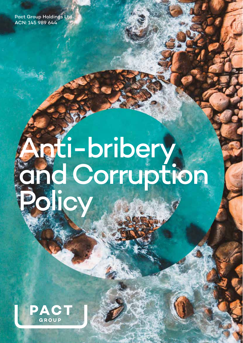Pact Group Holdings Ltd ACN: 145 989 644

# Anti-bribery and Corruption Policy

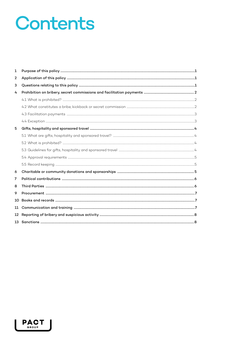## Contents

| 1              |  |
|----------------|--|
| 2              |  |
| 3              |  |
| 4              |  |
|                |  |
|                |  |
|                |  |
|                |  |
| 5              |  |
|                |  |
|                |  |
|                |  |
|                |  |
|                |  |
| 6              |  |
| $\overline{7}$ |  |
| 8              |  |
| 9              |  |
| 10             |  |
| 11             |  |
| 12             |  |
| 13             |  |

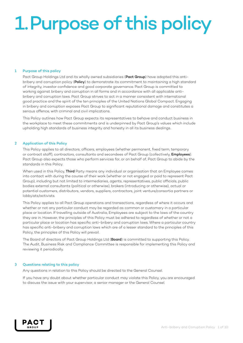## 1.Purpose of this policy

### 1 Purpose of this policy

Pact Group Holdings Ltd and its wholly owned subsidiaries (Pact Group) have adopted this antibribery and corruption policy (Policy) to demonstrate its commitment to maintaining a high standard of integrity, investor confidence and good corporate governance. Pact Group is committed to working against bribery and corruption in all forms and in accordance with all applicable antibribery and corruption laws. Pact Group strives to act in a manner consistent with international good practice and the spirit of the ten principles of the United Nations Global Compact. Engaging in bribery and corruption exposes Pact Group to significant reputational damage and constitutes a serious offence, with criminal and civil implications.

This Policy outlines how Pact Group expects its representatives to behave and conduct business in the workplace to meet these commitments and is underpinned by Pact Group's values which include upholding high standards of business integrity and honesty in all its business dealings.

### 2 Application of this Policy

This Policy applies to all directors, officers, employees (whether permanent, fixed term, temporary or contract staff), contractors, consultants and secondees of Pact Group (collectively, **Employees**). Pact Group also expects those who perform services for, or on behalf of, Pact Group to abide by the standards in this Policy.

When used in this Policy, Third Party means any individual or organisation that an Employee comes into contact with during the course of their work (whether or not engaged or paid to represent Pact Group), including but not limited to intermediaries, agents, representatives, public officials, public bodies external consultants (political or otherwise), brokers (introducing or otherwise), actual or potential customers, distributors, vendors, suppliers, contractors, joint venture/consortia partners or lobbyists/activists.

This Policy applies to all Pact Group operations and transactions, regardless of where it occurs and whether or not any particular conduct may be regarded as common or customary in a particular place or location. If travelling outside of Australia, Employees are subject to the laws of the country they are in. However, the principles of this Policy must be adhered to regardless of whether or not a particular place or location has specific anti-bribery and corruption laws. Where a particular country has specific anti-bribery and corruption laws which are of a lesser standard to the principles of this Policy, the principles of this Policy will prevail.

The Board of directors of Pact Group Holdings Ltd (Board) is committed to supporting this Policy. The Audit, Business Risk and Compliance Committee is responsible for implementing this Policy and reviewing it periodically.

### 3 Questions relating to this policy

Any questions in relation to this Policy should be directed to the General Counsel.

If you have any doubt about whether particular conduct may violate this Policy, you are encouraged to discuss the issue with your supervisor, a senior manager or the General Counsel.

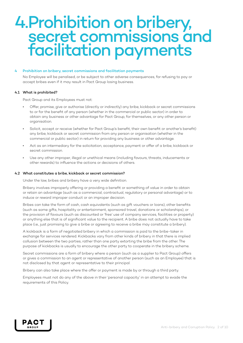### 4.Prohibition on bribery, secret commissions and facilitation payments

### 4 Prohibition on bribery, secret commissions and facilitation payments

No Employee will be penalised, or be subject to other adverse consequences, for refusing to pay or accept bribes even if it may result in Pact Group losing business.

### 4.1 What is prohibited?

Pact Group and its Employees must not:

- Offer, promise, give or authorise (directly or indirectly) any bribe, kickback or secret commissions to or for the benefit of any person (whether in the commercial or public sector) in order to obtain any business or other advantage for Pact Group, for themselves, or any other person or organisation.
- Solicit, accept or receive (whether for Pact Group's benefit, their own benefit or another's benefit) any bribe, kickback or secret commission from any person or organisation (whether in the commercial or public sector) in return for providing any business or other advantage.
- Act as an intermediary for the solicitation, acceptance, payment or offer of a bribe, kickback or secret commission.
- Use any other improper, illegal or unethical means (including favours, threats, inducements or other rewards) to influence the actions or decisions of others.

### 4.2 What constitutes a bribe, kickback or secret commission?

Under the law, bribes and bribery have a very wide definition.

Bribery involves improperly offering or providing a benefit or something of value in order to obtain or retain an advantage (such as a commercial, contractual, regulatory or personal advantage) or to induce or reward improper conduct or an improper decision.

Bribes can take the form of cash, cash equivalents (such as gift vouchers or loans), other benefits (such as some gifts, hospitality or entertainment, sponsored travel, donations or scholarships), or the provision of favours (such as discounted or 'free' use of company services, facilities or property) or anything else that is of significant value to the recipient. A bribe does not actually have to take place (i.e., just promising to give a bribe or agreeing to receive a bribe may constitute a bribery).

A kickback is a form of negotiated bribery in which a commission is paid to the bribe-taker in exchange for services rendered. Kickbacks vary from other kinds of bribery in that there is implied collusion between the two parties, rather than one party extorting the bribe from the other. The purpose of kickbacks is usually to encourage the other party to cooperate in the bribery scheme.

Secret commissions are a form of bribery where a person (such as a supplier to Pact Group) offers or gives a commission to an agent or representative of another person (such as an Employee) that is not disclosed by that agent or representative to their principal.

Bribery can also take place where the offer or payment is made by or through a third party.

Employees must not do any of the above in their 'personal capacity' in an attempt to evade the requirements of this Policy.

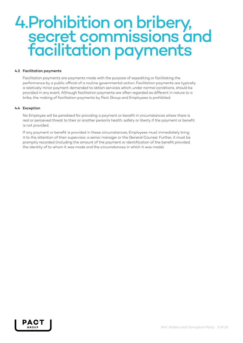### 4.Prohibition on bribery, secret commissions and facilitation payments

### 4.3 Facilitation payments

Facilitation payments are payments made with the purpose of expediting or facilitating the performance by a public official of a routine governmental action. Facilitation payments are typically a relatively minor payment demanded to obtain services which, under normal conditions, should be provided in any event. Although facilitation payments are often regarded as different in nature to a bribe, the making of facilitation payments by Pact Group and Employees is prohibited.

### 4.4 Exception

No Employee will be penalised for providing a payment or benefit in circumstances where there is real or perceived threat to their or another person's health, safety or liberty if the payment or benefit is not provided.

If any payment or benefit is provided in these circumstances, Employees must immediately bring it to the attention of their supervisor, a senior manager or the General Counsel. Further, it must be promptly recorded (including the amount of the payment or identification of the benefit provided, the identity of to whom it was made and the circumstances in which it was made).

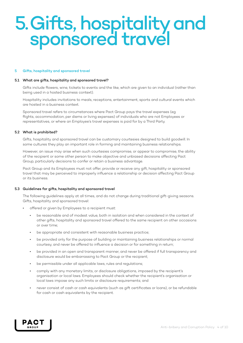### 5.Gifts, hospitality and sponsored travel

#### 5 Gifts, hospitality and sponsored travel

#### 5.1 What are gifts, hospitality and sponsored travel?

Gifts include flowers, wine, tickets to events and the like, which are given to an individual (rather than being used in a hosted business context).

Hospitality includes invitations to meals, receptions, entertainment, sports and cultural events which are hosted in a business context.

Sponsored travel refers to circumstances where Pact Group pays the travel expenses (eg flights, accommodation, per diems or living expenses) of individuals who are not Employees or representatives, or where an Employee's travel expenses is paid for by a Third Party.

### 5.2 What is prohibited?

Gifts, hospitality and sponsored travel can be customary courtesies designed to build goodwill. In some cultures they play an important role in forming and maintaining business relationships.

However, an issue may arise when such courtesies compromise, or appear to compromise, the ability of the recipient or some other person to make objective and unbiased decisions affecting Pact Group, particularly decisions to confer or retain a business advantage.

Pact Group and its Employees must not offer, provide or receive any gift, hospitality or sponsored travel that may be perceived to improperly influence a relationship or decision affecting Pact Group or its business.

#### 5.3 Guidelines for gifts, hospitality and sponsored travel

The following guidelines apply at all times, and do not change during traditional gift-giving seasons. Gifts, hospitality and sponsored travel:

- offered or given by Employees to a recipient must:
	- be reasonable and of modest value, both in isolation and when considered in the context of other gifts, hospitality and sponsored travel offered to the same recipient on other occasions or over time;
	- be appropriate and consistent with reasonable business practice;
	- be provided only for the purpose of building or maintaining business relationships or normal courtesy, and never be offered to influence a decision or for something in return;
	- be provided in an open and transparent manner, and never be offered if full transparency and disclosure would be embarrassing to Pact Group or the recipient;
	- be permissible under all applicable laws, rules and regulations;
	- comply with any monetary limits, or disclosure obligations, imposed by the recipient's organisation or local laws. Employees should check whether the recipient's organisation or local laws impose any such limits or disclosure requirements; and
	- never consist of cash or cash equivalents (such as gift certificates or loans), or be refundable for cash or cash equivalents by the recipient.

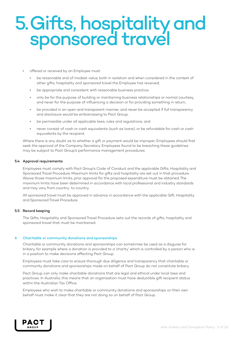### 5.Gifts, hospitality and sponsored travel

- offered or received by an Employee must:
	- be reasonable and of modest value, both in isolation and when considered in the context of other gifts, hospitality and sponsored travel the Employee has received;
	- be appropriate and consistent with reasonable business practice;
	- only be for the purpose of building or maintaining business relationships or normal courtesy, and never for the purpose of influencing a decision or for providing something in return;
	- be provided in an open and transparent manner, and never be accepted if full transparency and disclosure would be embarrassing to Pact Group;
	- be permissible under all applicable laws, rules and regulations; and
	- never consist of cash or cash equivalents (such as loans), or be refundable for cash or cash equivalents by the recipient.

Where there is any doubt as to whether a gift or payment would be improper, Employees should first seek the approval of the Company Secretary. Employees found to be breaching these guidelines may be subject to Pact Group's performance management procedures.

### 5.4 Approval requirements

Employees must comply with Pact Group's Code of Conduct and the applicable Gifts, Hospitality and Sponsored Travel Procedure. Maximum limits for gifts and hospitality are set out in that procedure. Above those maximum limits, prior approval for the proposed expenditure must be obtained. The maximum limits have been determined in accordance with local professional and industry standards and may vary from country to country.

All sponsored travel must be approved in advance in accordance with the applicable Gift, Hospitality and Sponsored Travel Procedure.

### 5.5 Record keeping

The Gifts, Hospitality and Sponsored Travel Procedure sets out the records of gifts, hospitality and sponsored travel that must be maintained.

### 6 Charitable or community donations and sponsorships

Charitable or community donations and sponsorships can sometimes be used as a disguise for bribery, for example where a donation is provided to a 'charity' which is controlled by a person who is in a position to make decisions affecting Pact Group.

Employees must take care to ensure thorough due diligence and transparency that charitable or community donations and sponsorships made on behalf of Pact Group do not constitute bribery.

Pact Group can only make charitable donations that are legal and ethical under local laws and practices. In Australia, this means that an organisation must have deductible gift recipient status within the Australian Tax Office.

Employees who wish to make charitable or community donations and sponsorships on their own behalf must make it clear that they are not doing so on behalf of Pact Group.

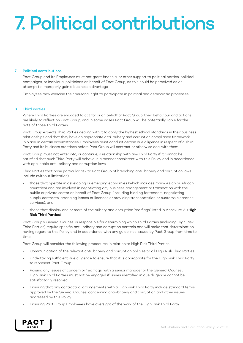## 7. Political contributions

### 7 Political contributions

Pact Group and its Employees must not grant financial or other support to political parties, political campaigns, or individual politicians on behalf of Pact Group, as this could be perceived as an attempt to improperly gain a business advantage.

Employees may exercise their personal right to participate in political and democratic processes.

### 8 Third Parties

Where Third Parties are engaged to act for or on behalf of Pact Group, their behaviour and actions are likely to reflect on Pact Group, and in some cases Pact Group will be potentially liable for the acts of those Third Parties.

Pact Group expects Third Parties dealing with it to apply the highest ethical standards in their business relationships and that they have an appropriate anti-bribery and corruption compliance framework in place. In certain circumstances, Employees must conduct certain due diligence in respect of a Third Party and its business practices before Pact Group will contract or otherwise deal with them.

Pact Group must not enter into, or continue, a relationship with any Third Party if it cannot be satisfied that such Third Party will behave in a manner consistent with this Policy and in accordance with applicable anti-bribery and corruption laws.

Third Parties that pose particular risk to Pact Group of breaching anti-bribery and corruption laws include (without limitation):

- those that operate in developing or emerging economies (which includes many Asian or African countries) and are involved in negotiating any business arrangement or transaction with the public or private sector on behalf of Pact Group (including bidding for tenders, negotiating supply contracts, arranging leases or licences or providing transportation or customs clearance services); and
- those that display one or more of the bribery and corruption 'red flags' listed in Annexure A, (High Risk Third Parties).

Pact Group's General Counsel is responsible for determining which Third Parties (including High Risk Third Parties) require specific anti-bribery and corruption controls and will make that determination having regard to this Policy and in accordance with any guidelines issued by Pact Group from time to time.

Pact Group will consider the following procedures in relation to High Risk Third Parties:

- Communication of the relevant anti-bribery and corruption policies to all High Risk Third Parties.
- Undertaking sufficient due diligence to ensure that it is appropriate for the High Risk Third Party to represent Pact Group.
- Raising any issues of concern or 'red flags' with a senior manager or the General Counsel. High Risk Third Parties must not be engaged if issues identified in due diligence cannot be satisfactorily resolved.
- Ensuring that any contractual arrangements with a High Risk Third Party include standard terms approved by the General Counsel concerning anti-bribery and corruption and other issues addressed by this Policy.
- Ensuring Pact Group Employees have oversight of the work of the High Risk Third Party.

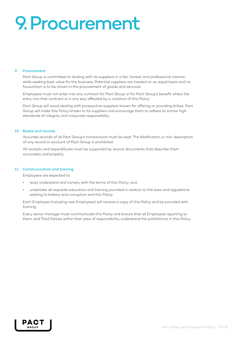## 9.Procurement

### 9 Procurement

Pact Group is committed to dealing with its suppliers in a fair, honest and professional manner, while seeking best value for the business. Potential suppliers are treated on an equal basis and no favouritism is to be shown in the procurement of goods and services.

Employees must not enter into any contract for Pact Group or for Pact Group's benefit where the entry into that contract is in any way affected by a violation of this Policy.

Pact Group will avoid dealing with prospective suppliers known for offering or providing bribes. Pact Group will make this Policy known to its suppliers and encourage them to adhere to similar high standards of integrity and corporate responsibility.

### 10 Books and records

Accurate records of all Pact Group's transactions must be kept. The falsification or mis-description of any record or account of Pact Group is prohibited.

All receipts and expenditures must be supported by source documents that describe them accurately and properly.

### 11 Communication and training

Employees are expected to:

- read, understand and comply with the terms of this Policy; and
- undertake all requisite education and training provided in relation to the laws and regulations relating to bribery and corruption and this Policy.

Each Employee (including new Employees) will receive a copy of this Policy and be provided with training.

Every senior manager must communicate this Policy and ensure that all Employees reporting to them, and Third Parties within their area of responsibility, understand the prohibitions in this Policy.

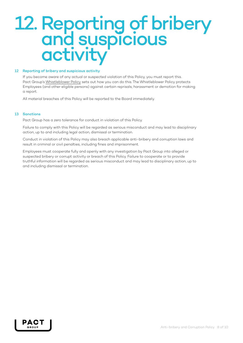### 12. Reporting of bribery and suspicious activity

### 12 Reporting of bribery and suspicious activity

If you become aware of any actual or suspected violation of this Policy, you must report this. Pact Group's Whistleblower Policy sets out how you can do this. The Whistleblower Policy protects Employees (and other eligible persons) against certain reprisals, harassment or demotion for making a report.

All material breaches of this Policy will be reported to the Board immediately.

### 13 Sanctions

Pact Group has a zero tolerance for conduct in violation of this Policy.

Failure to comply with this Policy will be regarded as serious misconduct and may lead to disciplinary action, up to and including legal action, dismissal or termination.

Conduct in violation of this Policy may also breach applicable anti-bribery and corruption laws and result in criminal or civil penalties, including fines and imprisonment.

Employees must cooperate fully and openly with any investigation by Pact Group into alleged or suspected bribery or corrupt activity or breach of this Policy. Failure to cooperate or to provide truthful information will be regarded as serious misconduct and may lead to disciplinary action, up to and including dismissal or termination.

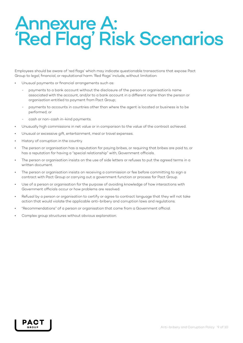### Annexure A: 'Red Flag' Risk Scenarios

Employees should be aware of 'red flags' which may indicate questionable transactions that expose Pact Group to legal, financial, or reputational harm. 'Red flags' include, without limitation:

- Unusual payments or financial arrangements such as:
	- payments to a bank account without the disclosure of the person or organisation's name associated with the account, and/or to a bank account in a different name than the person or organisation entitled to payment from Pact Group;
	- payments to accounts in countries other than where the agent is located or business is to be performed; or
	- cash or non-cash in-kind payments.
- Unusually high commissions in net value or in comparison to the value of the contract achieved.
- Unusual or excessive gift, entertainment, meal or travel expenses.
- History of corruption in the country.
- The person or organisation has a reputation for paying bribes, or requiring that bribes are paid to, or has a reputation for having a "special relationship" with, Government officials.
- The person or organisation insists on the use of side letters or refuses to put the agreed terms in a written document.
- The person or organisation insists on receiving a commission or fee before committing to sign a contract with Pact Group or carrying out a government function or process for Pact Group.
- Use of a person or organisation for the purpose of avoiding knowledge of how interactions with Government officials occur or how problems are resolved.
- Refusal by a person or organisation to certify or agree to contract language that they will not take action that would violate the applicable anti-bribery and corruption laws and regulations.
- "Recommendations" of a person or organisation that come from a Government official.
- Complex group structures without obvious explanation.